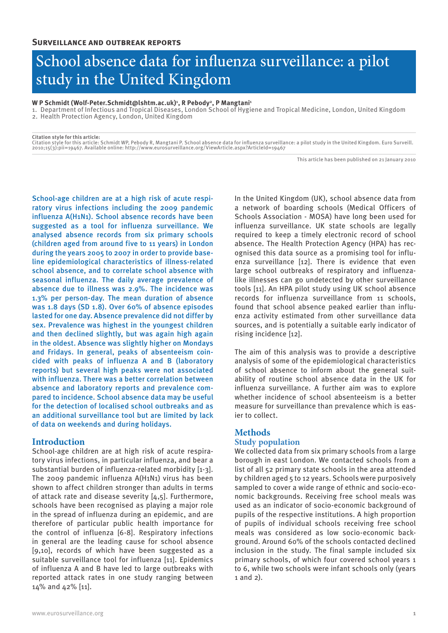# School absence data for influenza surveillance: a pilot study in the United Kingdom

#### **W P Schmidt (Wolf-Peter.Schmidt@lshtm.ac.uk)1 , R Pebody2, P Mangtani1**

1. Department of Infectious and Tropical Diseases, London School of Hygiene and Tropical Medicine, London, United Kingdom

2. Health Protection Agency, London, United Kingdom

**Citation style for this article:** Citation style for this article: Schmidt WP, Pebody R, Mangtani P. School absence data for influenza surveillance: a pilot study in the United Kingdom. Euro Surveill. 2010;15(3):pii=19467. Available online: http://www.eurosurveillance.org/ViewArticle.aspx?ArticleId=19467

This article has been published on 21 January 2010

School-age children are at a high risk of acute respiratory virus infections including the 2009 pandemic influenza A(H1N1). School absence records have been suggested as a tool for influenza surveillance. We analysed absence records from six primary schools (children aged from around five to 11 years) in London during the years 2005 to 2007 in order to provide baseline epidemiological characteristics of illness-related school absence, and to correlate school absence with seasonal influenza. The daily average prevalence of absence due to illness was 2.9%. The incidence was 1.3% per person-day. The mean duration of absence was 1.8 days (SD 1.8). Over 60% of absence episodes lasted for one day. Absence prevalence did not differ by sex. Prevalence was highest in the youngest children and then declined slightly, but was again high again in the oldest. Absence was slightly higher on Mondays and Fridays. In general, peaks of absenteeism coincided with peaks of influenza A and B (laboratory reports) but several high peaks were not associated with influenza. There was a better correlation between absence and laboratory reports and prevalence compared to incidence. School absence data may be useful for the detection of localised school outbreaks and as an additional surveillance tool but are limited by lack of data on weekends and during holidays.

## **Introduction**

School-age children are at high risk of acute respiratory virus infections, in particular influenza, and bear a substantial burden of influenza-related morbidity [1-3]. The 2009 pandemic influenza A(H1N1) virus has been shown to affect children stronger than adults in terms of attack rate and disease severity [4,5]. Furthermore, schools have been recognised as playing a major role in the spread of influenza during an epidemic, and are therefore of particular public health importance for the control of influenza [6-8]. Respiratory infections in general are the leading cause for school absence [9,10], records of which have been suggested as a suitable surveillance tool for influenza [11]. Epidemics of influenza A and B have led to large outbreaks with reported attack rates in one study ranging between 14% and 42% [11].

In the United Kingdom (UK), school absence data from a network of boarding schools (Medical Officers of Schools Association - MOSA) have long been used for influenza surveillance. UK state schools are legally required to keep a timely electronic record of school absence. The Health Protection Agency (HPA) has recognised this data source as a promising tool for influenza surveillance [12]. There is evidence that even large school outbreaks of respiratory and influenzalike illnesses can go undetected by other surveillance tools [11]. An HPA pilot study using UK school absence records for influenza surveillance from 11 schools, found that school absence peaked earlier than influenza activity estimated from other surveillance data sources, and is potentially a suitable early indicator of rising incidence [12].

The aim of this analysis was to provide a descriptive analysis of some of the epidemiological characteristics of school absence to inform about the general suitability of routine school absence data in the UK for influenza surveillance. A further aim was to explore whether incidence of school absenteeism is a better measure for surveillance than prevalence which is easier to collect.

## **Methods Study population**

We collected data from six primary schools from a large borough in east London. We contacted schools from a list of all 52 primary state schools in the area attended by children aged 5 to 12 years. Schools were purposively sampled to cover a wide range of ethnic and socio-economic backgrounds. Receiving free school meals was used as an indicator of socio-economic background of pupils of the respective institutions. A high proportion of pupils of individual schools receiving free school meals was considered as low socio-economic background. Around 60% of the schools contacted declined inclusion in the study. The final sample included six primary schools, of which four covered school years 1 to 6, while two schools were infant schools only (years 1 and 2).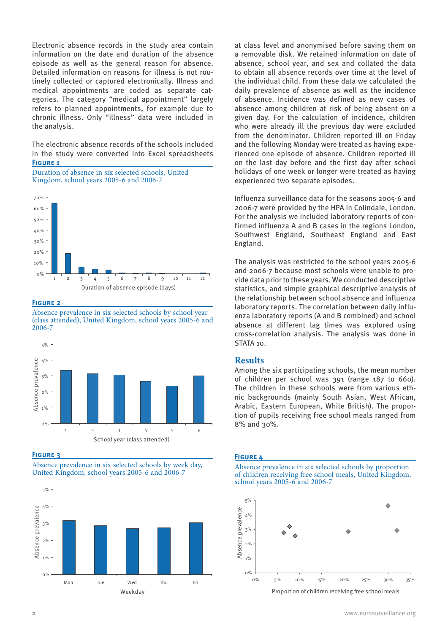Electronic absence records in the study area contain information on the date and duration of the absence episode as well as the general reason for absence. Detailed information on reasons for illness is not routinely collected or captured electronically. Illness and medical appointments are coded as separate categories. The category "medical appointment" largely refers to planned appointments, for example due to chronic illness. Only "illness" data were included in the analysis.

The electronic absence records of the schools included in the study were converted into Excel spreadsheets **FIGURE 1** 





#### **Figure 2**

Absence prevalence in six selected schools by school year (class attended), United Kingdom, school years 2005-6 and 2006-7



**Figure 3**





at class level and anonymised before saving them on a removable disk. We retained information on date of absence, school year, and sex and collated the data to obtain all absence records over time at the level of the individual child. From these data we calculated the daily prevalence of absence as well as the incidence of absence. Incidence was defined as new cases of absence among children at risk of being absent on a given day. For the calculation of incidence, children who were already ill the previous day were excluded from the denominator. Children reported ill on Friday and the following Monday were treated as having experienced one episode of absence. Children reported ill on the last day before and the first day after school holidays of one week or longer were treated as having experienced two separate episodes.

Influenza surveillance data for the seasons 2005-6 and 2006-7 were provided by the HPA in Colindale, London. For the analysis we included laboratory reports of confirmed influenza A and B cases in the regions London, Southwest England, Southeast England and East England.

The analysis was restricted to the school years 2005-6 and 2006-7 because most schools were unable to provide data prior to these years. We conducted descriptive statistics, and simple graphical descriptive analysis of the relationship between school absence and influenza laboratory reports. The correlation between daily influenza laboratory reports (A and B combined) and school absence at different lag times was explored using cross-correlation analysis. The analysis was done in STATA 10.

# **Results**

Among the six participating schools, the mean number of children per school was 391 (range 187 to 660). The children in these schools were from various ethnic backgrounds (mainly South Asian, West African, Arabic, Eastern European, White British). The proportion of pupils receiving free school meals ranged from 8% and 30%.

### **Figure 4**

Absence prevalence in six selected schools by proportion of children receiving free school meals, United Kingdom, school years 2005-6 and 2006-7



Proportion of children receiving free school meals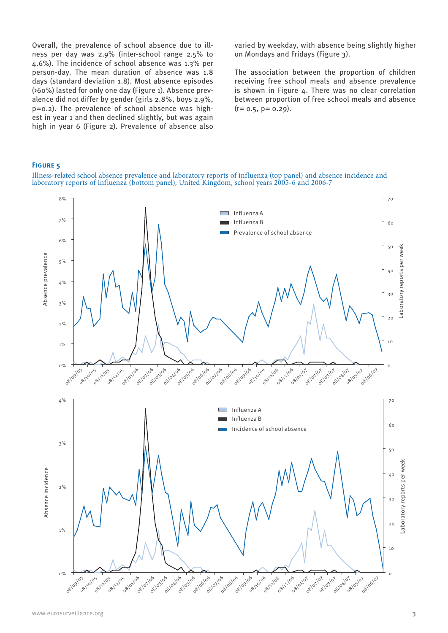Overall, the prevalence of school absence due to illness per day was 2.9% (inter-school range 2.5% to 4.6%). The incidence of school absence was 1.3% per person-day. The mean duration of absence was 1.8 days (standard deviation 1.8). Most absence episodes (>60%) lasted for only one day (Figure 1). Absence prevalence did not differ by gender (girls 2.8%, boys 2.9%, p=0.2). The prevalence of school absence was highest in year 1 and then declined slightly, but was again high in year 6 (Figure 2). Prevalence of absence also varied by weekday, with absence being slightly higher on Mondays and Fridays (Figure 3).

The association between the proportion of children receiving free school meals and absence prevalence is shown in Figure 4. There was no clear correlation between proportion of free school meals and absence  $(r= 0.5, p= 0.29).$ 

## **Figure 5**

Illness-related school absence prevalence and laboratory reports of influenza (top panel) and absence incidence and laboratory reports of influenza (bottom panel), United Kingdom, school years 2005-6 and 2006-7

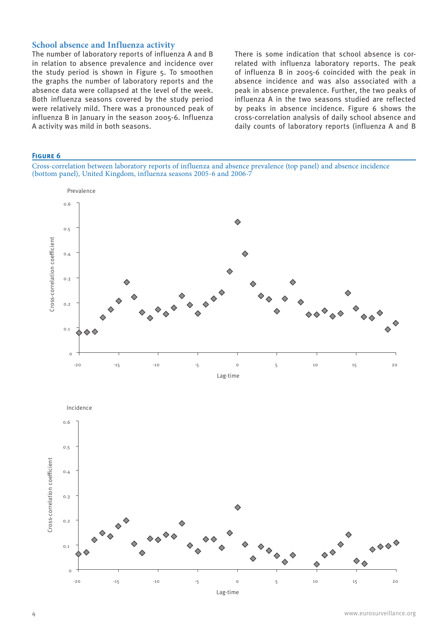# **School absence and Influenza activity**

The number of laboratory reports of influenza A and B in relation to absence prevalence and incidence over the study period is shown in Figure 5. To smoothen the graphs the number of laboratory reports and the absence data were collapsed at the level of the week. Both influenza seasons covered by the study period were relatively mild. There was a pronounced peak of influenza B in January in the season 2005-6. Influenza A activity was mild in both seasons.

There is some indication that school absence is correlated with influenza laboratory reports. The peak of influenza B in 2005-6 coincided with the peak in absence incidence and was also associated with a peak in absence prevalence. Further, the two peaks of influenza A in the two seasons studied are reflected by peaks in absence incidence. Figure 6 shows the cross-correlation analysis of daily school absence and daily counts of laboratory reports (influenza A and B

## **Figure 6**

Cross-correlation between laboratory reports of influenza and absence prevalence (top panel) and absence incidence (bottom panel), United Kingdom, influenza seasons 2005-6 and 2006-7



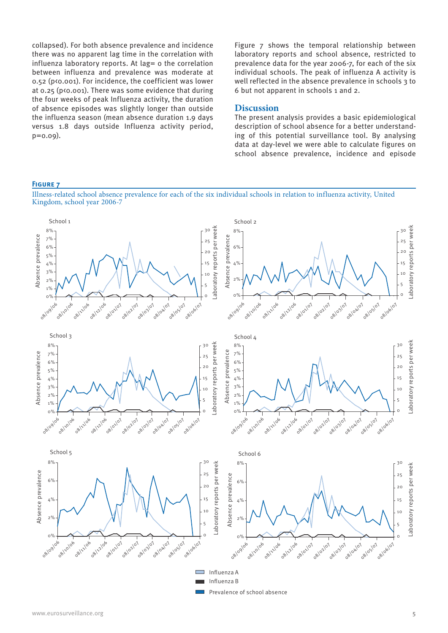collapsed). For both absence prevalence and incidence there was no apparent lag time in the correlation with influenza laboratory reports. At lag = 0 the correlation between influenza and prevalence was moderate at 0.52 (p<0.001). For incidence, the coefficient was lower at 0.25 (p<0.001). There was some evidence that during the four weeks of peak Influenza activity, the duration of absence episodes was slightly longer than outside the influenza season (mean absence duration 1.9 days versus 1.8 days outside Influenza activity period, p=0.09).

Figure 7 shows the temporal relationship between laboratory reports and school absence, restricted to prevalence data for the year 2006-7, for each of the six individual schools. The peak of influenza A activity is well reflected in the absence prevalence in schools 3 to 6 but not apparent in schools 1 and 2.

# **Discussion**

The present analysis provides a basic epidemiological description of school absence for a better understanding of this potential surveillance tool. By analysing data at day-level we were able to calculate figures on school absence prevalence, incidence and episode

### **Figure 7**

Illness-related school absence prevalence for each of the six individual schools in relation to influenza activity, United Kingdom, school year 2006-7